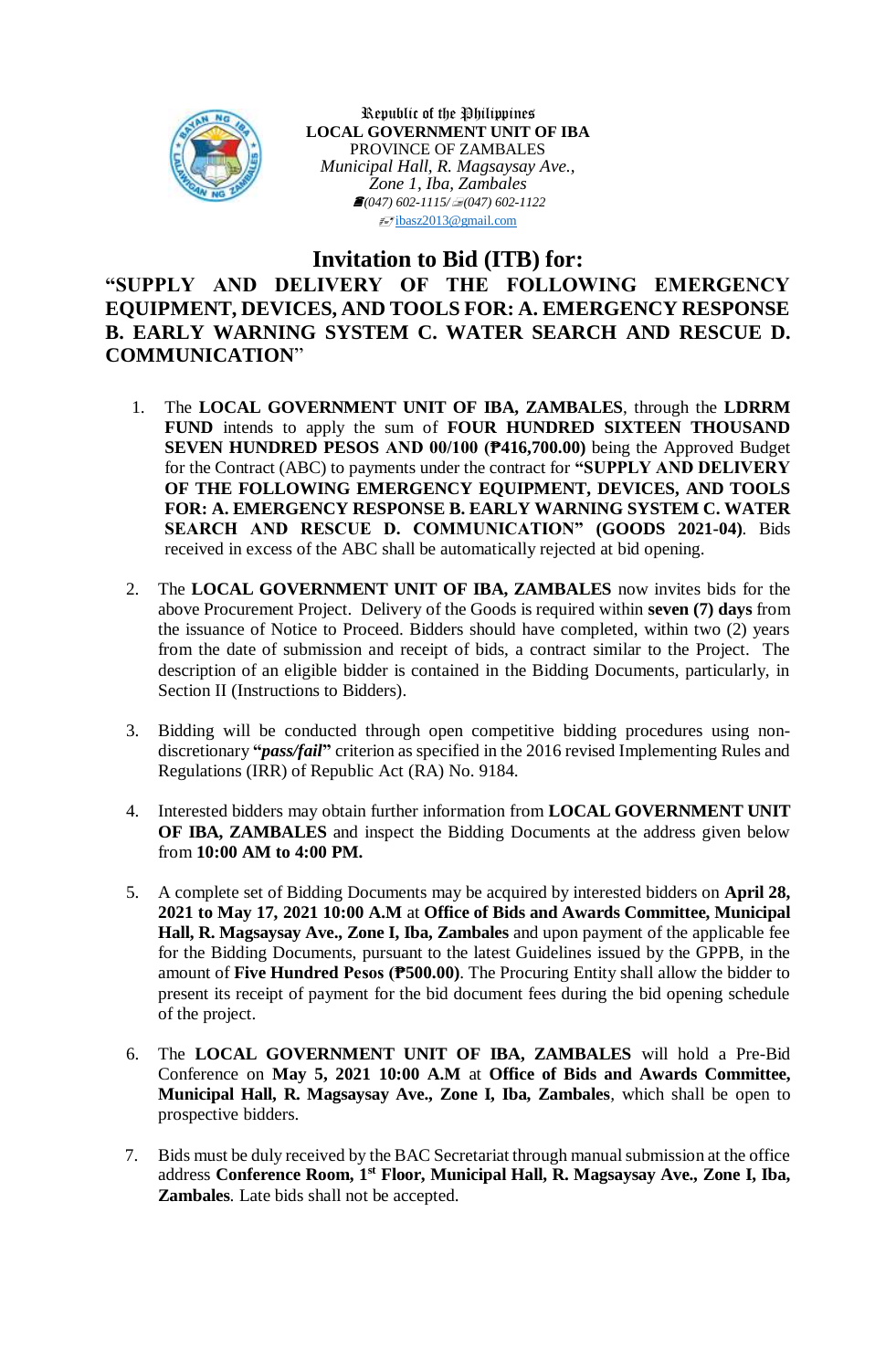

Republic of the Philippines **LOCAL GOVERNMENT UNIT OF IBA** PROVINCE OF ZAMBALES *Municipal Hall, R. Magsaysay Ave., Zone 1, Iba, Zambales (047) 602-1115/(047) 602-1122* [ibasz2013@gmail.com](mailto:ibasz2013@gmail.com)

## **Invitation to Bid (ITB) for:**

## **"SUPPLY AND DELIVERY OF THE FOLLOWING EMERGENCY EQUIPMENT, DEVICES, AND TOOLS FOR: A. EMERGENCY RESPONSE B. EARLY WARNING SYSTEM C. WATER SEARCH AND RESCUE D. COMMUNICATION**"

- 1. The **LOCAL GOVERNMENT UNIT OF IBA, ZAMBALES**, through the **LDRRM FUND** intends to apply the sum of **FOUR HUNDRED SIXTEEN THOUSAND SEVEN HUNDRED PESOS AND 00/100 (₱416,700.00)** being the Approved Budget for the Contract (ABC) to payments under the contract for **"SUPPLY AND DELIVERY OF THE FOLLOWING EMERGENCY EQUIPMENT, DEVICES, AND TOOLS FOR: A. EMERGENCY RESPONSE B. EARLY WARNING SYSTEM C. WATER SEARCH AND RESCUE D. COMMUNICATION" (GOODS 2021-04)**. Bids received in excess of the ABC shall be automatically rejected at bid opening.
- 2. The **LOCAL GOVERNMENT UNIT OF IBA, ZAMBALES** now invites bids for the above Procurement Project. Delivery of the Goods is required within **seven (7) days** from the issuance of Notice to Proceed. Bidders should have completed, within two (2) years from the date of submission and receipt of bids, a contract similar to the Project. The description of an eligible bidder is contained in the Bidding Documents, particularly, in Section II (Instructions to Bidders).
- 3. Bidding will be conducted through open competitive bidding procedures using nondiscretionary **"***pass/fail***"** criterion as specified in the 2016 revised Implementing Rules and Regulations (IRR) of Republic Act (RA) No. 9184.
- 4. Interested bidders may obtain further information from **LOCAL GOVERNMENT UNIT OF IBA, ZAMBALES** and inspect the Bidding Documents at the address given below from **10:00 AM to 4:00 PM.**
- 5. A complete set of Bidding Documents may be acquired by interested bidders on **April 28, 2021 to May 17, 2021 10:00 A.M** at **Office of Bids and Awards Committee, Municipal Hall, R. Magsaysay Ave., Zone I, Iba, Zambales** and upon payment of the applicable fee for the Bidding Documents, pursuant to the latest Guidelines issued by the GPPB, in the amount of **Five Hundred Pesos (₱500.00)**. The Procuring Entity shall allow the bidder to present its receipt of payment for the bid document fees during the bid opening schedule of the project.
- 6. The **LOCAL GOVERNMENT UNIT OF IBA, ZAMBALES** will hold a Pre-Bid Conference on **May 5, 2021 10:00 A.M** at **Office of Bids and Awards Committee, Municipal Hall, R. Magsaysay Ave., Zone I, Iba, Zambales***,* which shall be open to prospective bidders.
- 7. Bids must be duly received by the BAC Secretariat through manual submission at the office address **Conference Room, 1 st Floor, Municipal Hall, R. Magsaysay Ave., Zone I, Iba, Zambales***.* Late bids shall not be accepted.